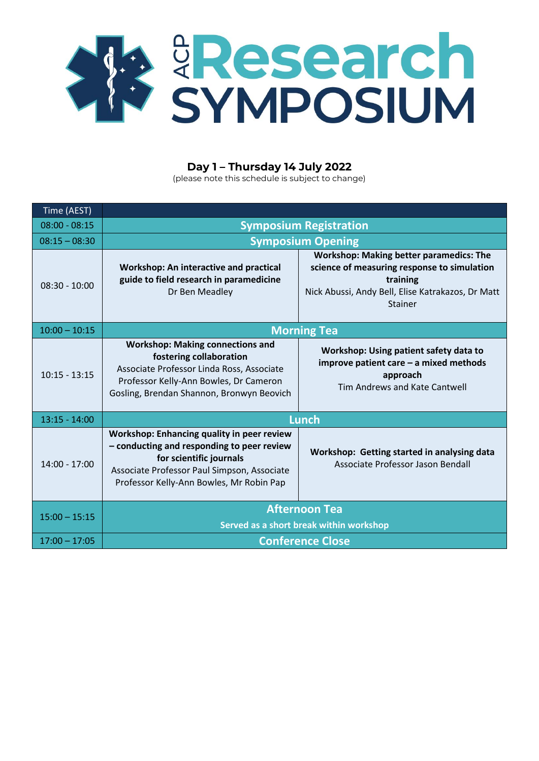

## **Day 1 – Thursday 14 July 2022**

(please note this schedule is subject to change)

| Time (AEST)     |                                                                                                                                                                                                                |                                                                                                                                                                                  |
|-----------------|----------------------------------------------------------------------------------------------------------------------------------------------------------------------------------------------------------------|----------------------------------------------------------------------------------------------------------------------------------------------------------------------------------|
| $08:00 - 08:15$ | <b>Symposium Registration</b>                                                                                                                                                                                  |                                                                                                                                                                                  |
| $08:15 - 08:30$ | <b>Symposium Opening</b>                                                                                                                                                                                       |                                                                                                                                                                                  |
| $08:30 - 10:00$ | Workshop: An interactive and practical<br>guide to field research in paramedicine<br>Dr Ben Meadley                                                                                                            | <b>Workshop: Making better paramedics: The</b><br>science of measuring response to simulation<br>training<br>Nick Abussi, Andy Bell, Elise Katrakazos, Dr Matt<br><b>Stainer</b> |
| $10:00 - 10:15$ | <b>Morning Tea</b>                                                                                                                                                                                             |                                                                                                                                                                                  |
| $10:15 - 13:15$ | <b>Workshop: Making connections and</b><br>fostering collaboration<br>Associate Professor Linda Ross, Associate<br>Professor Kelly-Ann Bowles, Dr Cameron<br>Gosling, Brendan Shannon, Bronwyn Beovich         | Workshop: Using patient safety data to<br>improve patient care - a mixed methods<br>approach<br>Tim Andrews and Kate Cantwell                                                    |
| $13:15 - 14:00$ | <b>Lunch</b>                                                                                                                                                                                                   |                                                                                                                                                                                  |
| $14:00 - 17:00$ | Workshop: Enhancing quality in peer review<br>- conducting and responding to peer review<br>for scientific journals<br>Associate Professor Paul Simpson, Associate<br>Professor Kelly-Ann Bowles, Mr Robin Pap | Workshop: Getting started in analysing data<br>Associate Professor Jason Bendall                                                                                                 |
| $15:00 - 15:15$ | <b>Afternoon Tea</b>                                                                                                                                                                                           |                                                                                                                                                                                  |
|                 | Served as a short break within workshop                                                                                                                                                                        |                                                                                                                                                                                  |
| $17:00 - 17:05$ | <b>Conference Close</b>                                                                                                                                                                                        |                                                                                                                                                                                  |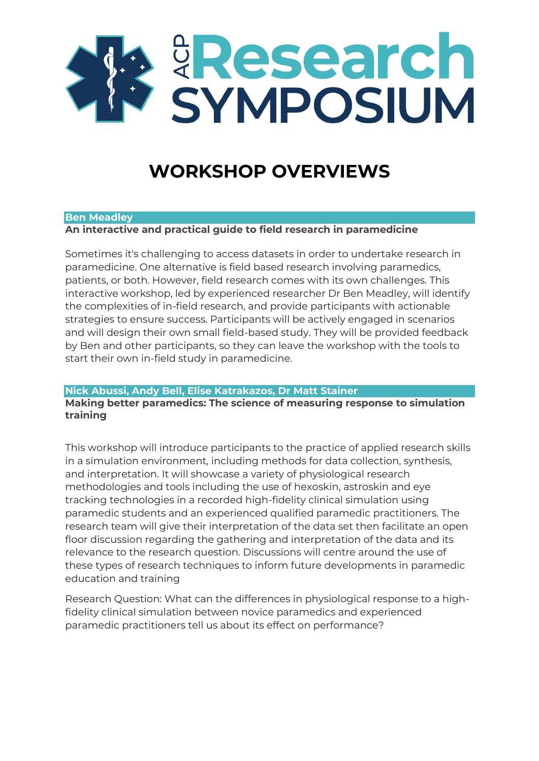

# **WORKSHOP OVERVIEWS**

### **Ben Meadley**

**An interactive and practical guide to field research in paramedicine**

Sometimes it's challenging to access datasets in order to undertake research in paramedicine. One alternative is field based research involving paramedics, patients, or both. However, field research comes with its own challenges. This interactive workshop, led by experienced researcher Dr Ben Meadley, will identify the complexities of in-field research, and provide participants with actionable strategies to ensure success. Participants will be actively engaged in scenarios and will design their own small field-based study. They will be provided feedback by Ben and other participants, so they can leave the workshop with the tools to start their own in-field study in paramedicine.

## **Nick Abussi, Andy Bell, Elise Katrakazos, Dr Matt Stainer**

**Making better paramedics: The science of measuring response to simulation training**

This workshop will introduce participants to the practice of applied research skills in a simulation environment, including methods for data collection, synthesis, and interpretation. It will showcase a variety of physiological research methodologies and tools including the use of hexoskin, astroskin and eye tracking technologies in a recorded high-fidelity clinical simulation using paramedic students and an experienced qualified paramedic practitioners. The research team will give their interpretation of the data set then facilitate an open floor discussion regarding the gathering and interpretation of the data and its relevance to the research question. Discussions will centre around the use of these types of research techniques to inform future developments in paramedic education and training

Research Question: What can the differences in physiological response to a highfidelity clinical simulation between novice paramedics and experienced paramedic practitioners tell us about its effect on performance?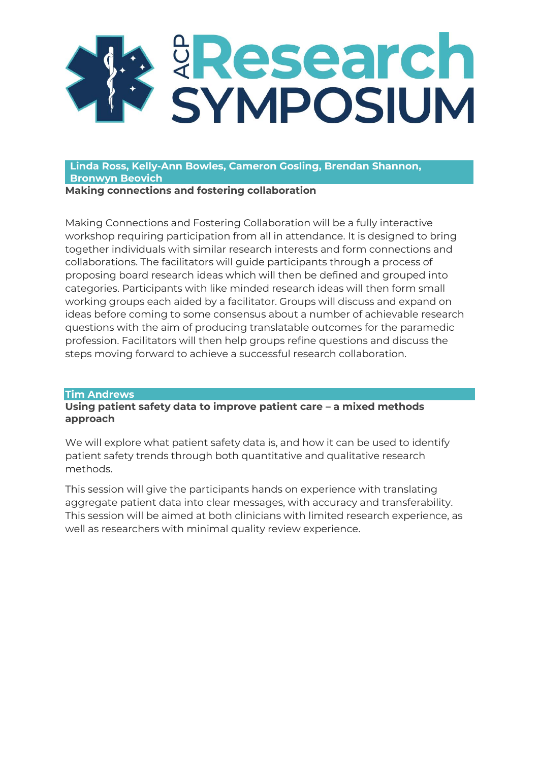

**Linda Ross, Kelly-Ann Bowles, Cameron Gosling, Brendan Shannon, Bronwyn Beovich**

**Making connections and fostering collaboration**

Making Connections and Fostering Collaboration will be a fully interactive workshop requiring participation from all in attendance. It is designed to bring together individuals with similar research interests and form connections and collaborations. The facilitators will guide participants through a process of proposing board research ideas which will then be defined and grouped into categories. Participants with like minded research ideas will then form small working groups each aided by a facilitator. Groups will discuss and expand on ideas before coming to some consensus about a number of achievable research questions with the aim of producing translatable outcomes for the paramedic profession. Facilitators will then help groups refine questions and discuss the steps moving forward to achieve a successful research collaboration.

### **Tim Andrews**

**Using patient safety data to improve patient care - a mixed methods approach** 

We will explore what patient safety data is, and how it can be used to identify patient safety trends through both quantitative and qualitative research methods.

This session will give the participants hands on experience with translating aggregate patient data into clear messages, with accuracy and transferability. This session will be aimed at both clinicians with limited research experience, as well as researchers with minimal quality review experience.